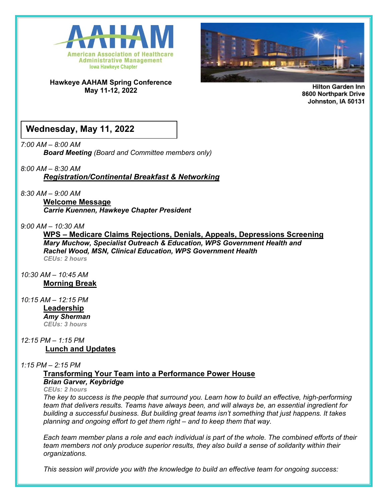

**Hawkeye AAHAM Spring Conference May 11-12, 2022**



**Hilton Garden Inn** 8600 Northpark Drive Johnston, IA 50131

## **Wednesday, May 11, 2022**

*7:00 AM – 8:00 AM Board Meeting (Board and Committee members only)*

### *8:00 AM – 8:30 AM*

*Registration/Continental Breakfast & Networking*

*8:30 AM – 9:00 AM*

**Welcome Message**  *Carrie Kuennen, Hawkeye Chapter President*

### *9:00 AM – 10:30 AM*

**WPS – Medicare Claims Rejections, Denials, Appeals, Depressions Screening** *Mary Muchow, Specialist Outreach & Education, WPS Government Health and Rachel Wood, MSN, Clinical Education, WPS Government Health CEUs: 2 hours*

*10:30 AM – 10:45 AM* **Morning Break**

*10:15 AM – 12:15 PM* **Leadership** *Amy Sherman CEUs: 3 hours*

*12:15 PM – 1:15 PM*  **Lunch and Updates**

### *1:15 PM – 2:15 PM*

**Transforming Your Team into a Performance Power House**

### *Brian Garver, Keybridge*

#### *CEUs: 2 hours*

*The key to success is the people that surround you. Learn how to build an effective, high-performing team that delivers results. Teams have always been, and will always be, an essential ingredient for building a successful business. But building great teams isn't something that just happens. It takes planning and ongoing effort to get them right – and to keep them that way.* 

*Each team member plans a role and each individual is part of the whole. The combined efforts of their team members not only produce superior results, they also build a sense of solidarity within their organizations.*

*This session will provide you with the knowledge to build an effective team for ongoing success:*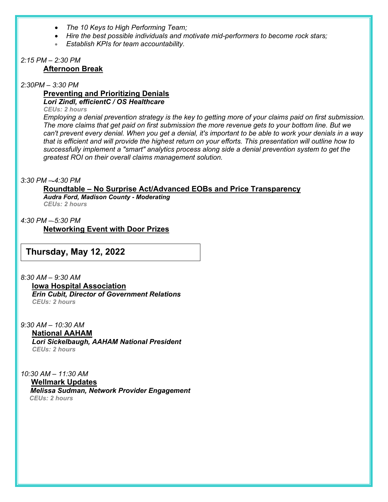- *The 10 Keys to High Performing Team;*
- *Hire the best possible individuals and motivate mid-performers to become rock stars;*
- *Establish KPIs for team accountability.*

#### *2:15 PM – 2:30 PM* **Afternoon Break**

*2:30PM – 3:30 PM*

#### **Preventing and Prioritizing Denials** *Lori Zindl, efficientC / OS Healthcare*

*CEUs: 2 hours*

*Employing a denial prevention strategy is the key to getting more of your claims paid on first submission. The more claims that get paid on first submission the more revenue gets to your bottom line. But we can't prevent every denial. When you get a denial, it's important to be able to work your denials in a way that is efficient and will provide the highest return on your efforts. This presentation will outline how to successfully implement a "smart" analytics process along side a denial prevention system to get the greatest ROI on their overall claims management solution.*

#### *3:30 PM – 4:30 PM*

## **Roundtable – No Surprise Act/Advanced EOBs and Price Transparency** *Audra Ford, Madison County - Moderating*

*CEUs: 2 hours*

*4:30 PM – 5:30 PM*

**Networking Event with Door Prizes**

## **Thursday, May 12, 2022**

*8:30 AM – 9:30 AM* **Iowa Hospital Association** *Erin Cubit, Director of Government Relations CEUs: 2 hours*

*9:30 AM – 10:30 AM* **National AAHAM**  *Lori Sickelbaugh, AAHAM National President CEUs: 2 hours*

*10:30 AM – 11:30 AM*  **Wellmark Updates**  *Melissa Sudman, Network Provider Engagement CEUs: 2 hours*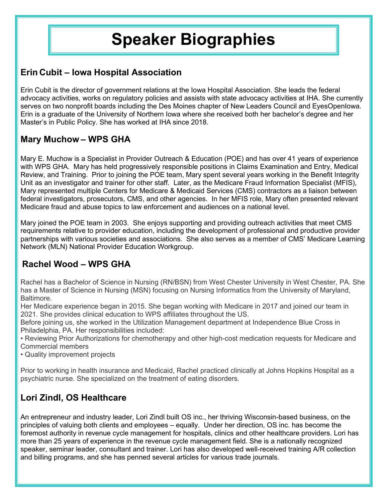# **Speaker Biographies**

## **Erin Cubit – Iowa Hospital Association**

Erin Cubit is the director of government relations at the Iowa Hospital Association. She leads the federal advocacy activities, works on regulatory policies and assists with state advocacy activities at IHA. She currently serves on two nonprofit boards including the Des Moines chapter of New Leaders Council and EyesOpenIowa. Erin is a graduate of the University of Northern Iowa where she received both her bachelor's degree and her Master's in Public Policy. She has worked at IHA since 2018.

## **Mary Muchow – WPS GHA**

Mary E. Muchow is a Specialist in Provider Outreach & Education (POE) and has over 41 years of experience with WPS GHA. Mary has held progressively responsible positions in Claims Examination and Entry, Medical Review, and Training. Prior to joining the POE team, Mary spent several years working in the Benefit Integrity Unit as an investigator and trainer for other staff. Later, as the Medicare Fraud Information Specialist (MFIS), Mary represented multiple Centers for Medicare & Medicaid Services (CMS) contractors as a liaison between federal investigators, prosecutors, CMS, and other agencies. In her MFIS role, Mary often presented relevant Medicare fraud and abuse topics to law enforcement and audiences on a national level.

Mary joined the POE team in 2003. She enjoys supporting and providing outreach activities that meet CMS requirements relative to provider education, including the development of professional and productive provider partnerships with various societies and associations. She also serves as a member of CMS' Medicare Learning Network (MLN) National Provider Education Workgroup.

# **Rachel Wood – WPS GHA**

Rachel has a Bachelor of Science in Nursing (RN/BSN) from West Chester University in West Chester, PA. She has a Master of Science in Nursing (MSN) focusing on Nursing Informatics from the University of Maryland, Baltimore.

Her Medicare experience began in 2015. She began working with Medicare in 2017 and joined our team in 2021. She provides clinical education to WPS affiliates throughout the US.

Before joining us, she worked in the Utilization Management department at Independence Blue Cross in Philadelphia, PA. Her responsibilities included:

• Reviewing Prior Authorizations for chemotherapy and other high-cost medication requests for Medicare and Commercial members

• Quality improvement projects

Prior to working in health insurance and Medicaid, Rachel practiced clinically at Johns Hopkins Hospital as a psychiatric nurse. She specialized on the treatment of eating disorders.

# **Lori Zindl, OS Healthcare**

An entrepreneur and industry leader, Lori Zindl built OS inc., her thriving Wisconsin-based business, on the principles of valuing both clients and employees – equally. Under her direction, OS inc. has become the foremost authority in revenue cycle management for hospitals, clinics and other healthcare providers. Lori has more than 25 years of experience in the revenue cycle management field. She is a nationally recognized speaker, seminar leader, consultant and trainer. Lori has also developed well-received training A/R collection and billing programs, and she has penned several articles for various trade journals.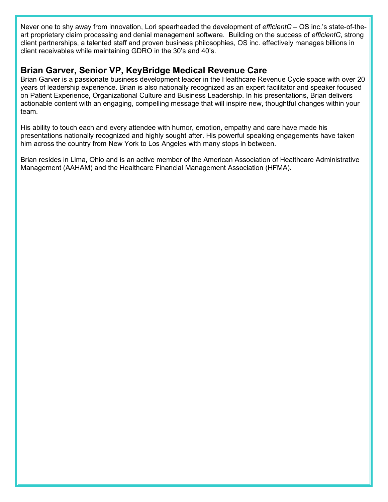Never one to shy away from innovation, Lori spearheaded the development of *efficientC* – OS inc.'s state-of-theart proprietary claim processing and denial management software. Building on the success of *efficientC*, strong client partnerships, a talented staff and proven business philosophies, OS inc. effectively manages billions in client receivables while maintaining GDRO in the 30's and 40's.

## **Brian Garver, Senior VP, KeyBridge Medical Revenue Care**

Brian Garver is a passionate business development leader in the Healthcare Revenue Cycle space with over 20 years of leadership experience. Brian is also nationally recognized as an expert facilitator and speaker focused on Patient Experience, Organizational Culture and Business Leadership. In his presentations, Brian delivers actionable content with an engaging, compelling message that will inspire new, thoughtful changes within your team.

His ability to touch each and every attendee with humor, emotion, empathy and care have made his presentations nationally recognized and highly sought after. His powerful speaking engagements have taken him across the country from New York to Los Angeles with many stops in between.

Brian resides in Lima, Ohio and is an active member of the American Association of Healthcare Administrative Management (AAHAM) and the Healthcare Financial Management Association (HFMA).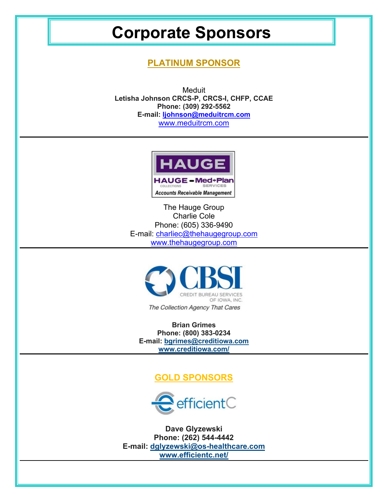# **Corporate Sponsors**

## **PLATINUM SPONSOR**

**Meduit Letisha Johnson CRCS-P, CRCS-I, CHFP, CCAE Phone: (309) 292-5562 E-mail: [ljohnson@meduitrcm.com](mailto:ljohnson@meduitrcm.com)** [www.meduitrcm.com](http://www.meduitrcm.com/)



The Hauge Group Charlie Cole Phone: (605) 336-9490 E-mail: [charliec@thehaugegroup.com](mailto:charliec@thehaugegroup.com) [www.thehaugegroup.com](http://www.thehaugegroup.com/)



The Collection Agency That Cares

**Brian Grimes Phone: (800) 383-0234 E-mail: [bgrimes@creditiowa.com](mailto:bgrimes@creditiowa.com) [www.creditiowa.com/](http://www.creditiowa.com/)**

## **GOLD SPONSORS**



**Dave Glyzewski Phone: (262) 544-4442 E-mail: [dglyzewski@os-healthcare.com](mailto:dglyzewski@os-healthcare.com) [www.efficientc.net/](http://www.efficientc.net/)**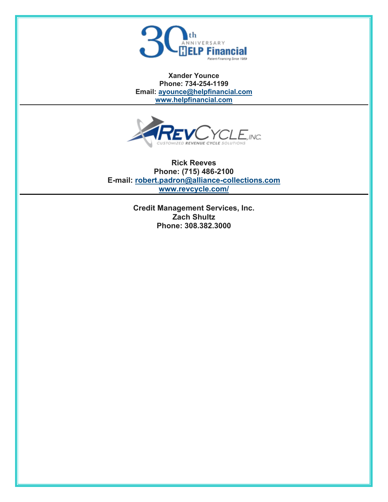

**Xander Younce Phone: 734-254-1199 Email: [ayounce@helpfinancial.com](mailto:ayounce@helpfinancial.com) [www.helpfinancial.com](http://www.helpfinancial.com/)**



**Rick Reeves Phone: (715) 486-2100 E-mail: [robert.padron@alliance-collections.com](mailto:robert.padron@alliance-collections.com) [www.revcycle.com/](http://www.revcycle.com/)**

> **Credit Management Services, Inc. Zach Shultz Phone: 308.382.3000**